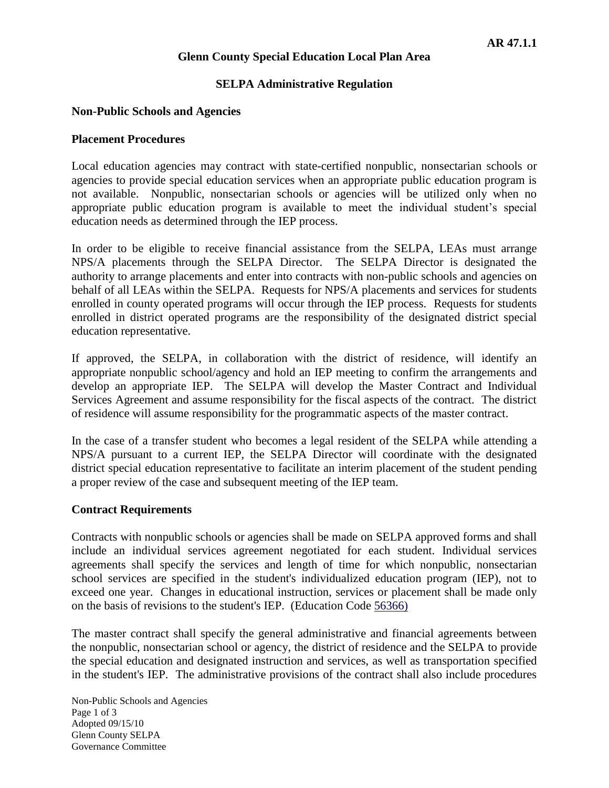### **Glenn County Special Education Local Plan Area**

### **SELPA Administrative Regulation**

#### **Non-Public Schools and Agencies**

#### **Placement Procedures**

Local education agencies may contract with state-certified nonpublic, nonsectarian schools or agencies to provide special education services when an appropriate public education program is not available. Nonpublic, nonsectarian schools or agencies will be utilized only when no appropriate public education program is available to meet the individual student's special education needs as determined through the IEP process.

In order to be eligible to receive financial assistance from the SELPA, LEAs must arrange NPS/A placements through the SELPA Director. The SELPA Director is designated the authority to arrange placements and enter into contracts with non-public schools and agencies on behalf of all LEAs within the SELPA. Requests for NPS/A placements and services for students enrolled in county operated programs will occur through the IEP process. Requests for students enrolled in district operated programs are the responsibility of the designated district special education representative.

If approved, the SELPA, in collaboration with the district of residence, will identify an appropriate nonpublic school/agency and hold an IEP meeting to confirm the arrangements and develop an appropriate IEP. The SELPA will develop the Master Contract and Individual Services Agreement and assume responsibility for the fiscal aspects of the contract. The district of residence will assume responsibility for the programmatic aspects of the master contract.

In the case of a transfer student who becomes a legal resident of the SELPA while attending a NPS/A pursuant to a current IEP, the SELPA Director will coordinate with the designated district special education representative to facilitate an interim placement of the student pending a proper review of the case and subsequent meeting of the IEP team.

#### **Contract Requirements**

Contracts with nonpublic schools or agencies shall be made on SELPA approved forms and shall include an individual services agreement negotiated for each student. Individual services agreements shall specify the services and length of time for which nonpublic, nonsectarian school services are specified in the student's individualized education program (IEP), not to exceed one year. Changes in educational instruction, services or placement shall be made only on the basis of revisions to the student's IEP. (Education Code [56366\)](http://www.gamutonline.net/4daction/web_loaddisplaypolicy/137894/6)

The master contract shall specify the general administrative and financial agreements between the nonpublic, nonsectarian school or agency, the district of residence and the SELPA to provide the special education and designated instruction and services, as well as transportation specified in the student's IEP. The administrative provisions of the contract shall also include procedures

Non-Public Schools and Agencies Page 1 of 3 Adopted 09/15/10 Glenn County SELPA Governance Committee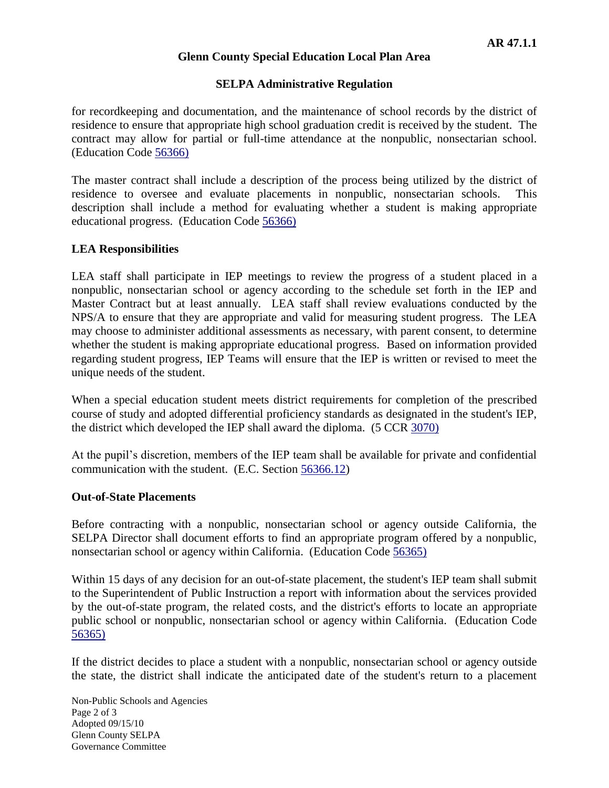### **Glenn County Special Education Local Plan Area**

### **SELPA Administrative Regulation**

for recordkeeping and documentation, and the maintenance of school records by the district of residence to ensure that appropriate high school graduation credit is received by the student. The contract may allow for partial or full-time attendance at the nonpublic, nonsectarian school. (Education Code [56366\)](http://www.gamutonline.net/4daction/web_loaddisplaypolicy/137894/6)

The master contract shall include a description of the process being utilized by the district of residence to oversee and evaluate placements in nonpublic, nonsectarian schools. This description shall include a method for evaluating whether a student is making appropriate educational progress. (Education Code [56366\)](http://www.gamutonline.net/4daction/web_loaddisplaypolicy/137894/6)

### **LEA Responsibilities**

LEA staff shall participate in IEP meetings to review the progress of a student placed in a nonpublic, nonsectarian school or agency according to the schedule set forth in the IEP and Master Contract but at least annually. LEA staff shall review evaluations conducted by the NPS/A to ensure that they are appropriate and valid for measuring student progress. The LEA may choose to administer additional assessments as necessary, with parent consent, to determine whether the student is making appropriate educational progress. Based on information provided regarding student progress, IEP Teams will ensure that the IEP is written or revised to meet the unique needs of the student.

When a special education student meets district requirements for completion of the prescribed course of study and adopted differential proficiency standards as designated in the student's IEP, the district which developed the IEP shall award the diploma. (5 CCR [3070\)](http://www.gamutonline.net/4daction/web_loaddisplaypolicy/210916/6)

At the pupil's discretion, members of the IEP team shall be available for private and confidential communication with the student. (E.C. Section 56366.12)

#### **Out-of-State Placements**

Before contracting with a nonpublic, nonsectarian school or agency outside California, the SELPA Director shall document efforts to find an appropriate program offered by a nonpublic, nonsectarian school or agency within California. (Education Code [56365\)](http://www.gamutonline.net/4daction/web_loaddisplaypolicy/137810/6)

Within 15 days of any decision for an out-of-state placement, the student's IEP team shall submit to the Superintendent of Public Instruction a report with information about the services provided by the out-of-state program, the related costs, and the district's efforts to locate an appropriate public school or nonpublic, nonsectarian school or agency within California. (Education Code [56365\)](http://www.gamutonline.net/4daction/web_loaddisplaypolicy/137810/6)

If the district decides to place a student with a nonpublic, nonsectarian school or agency outside the state, the district shall indicate the anticipated date of the student's return to a placement

Non-Public Schools and Agencies Page 2 of 3 Adopted 09/15/10 Glenn County SELPA Governance Committee